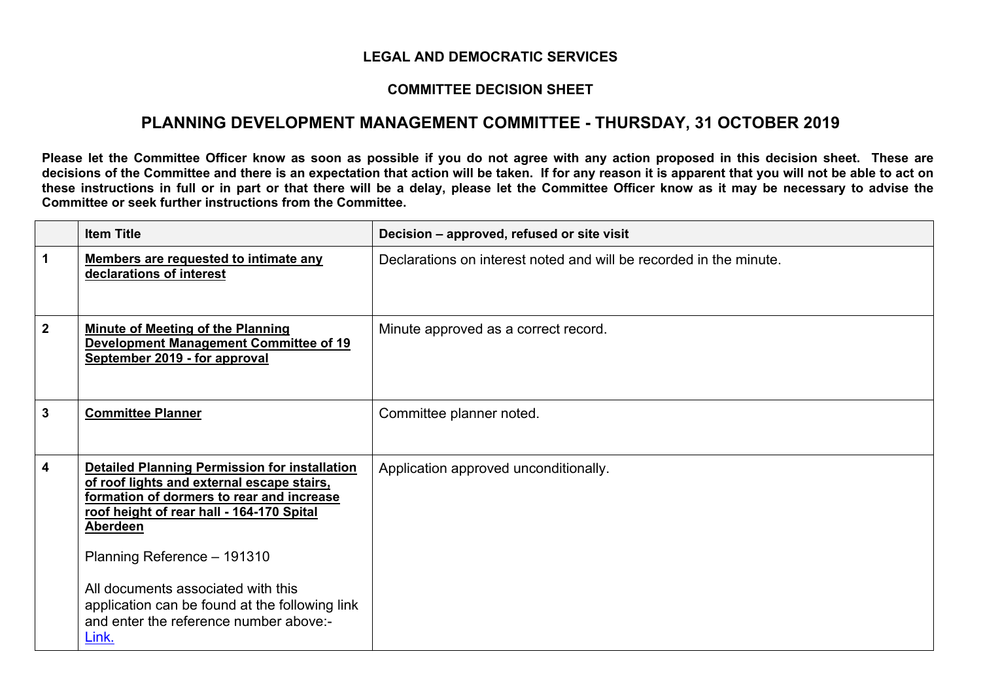## **LEGAL AND DEMOCRATIC SERVICES**

## **COMMITTEE DECISION SHEET**

## **PLANNING DEVELOPMENT MANAGEMENT COMMITTEE - THURSDAY, 31 OCTOBER 2019**

Please let the Committee Officer know as soon as possible if you do not agree with any action proposed in this decision sheet. These are decisions of the Committee and there is an expectation that action will be taken. If for any reason it is apparent that you will not be able to act on these instructions in full or in part or that there will be a delay, please let the Committee Officer know as it may be necessary to advise the **Committee or seek further instructions from the Committee.**

|              | <b>Item Title</b>                                                                                                                                                                                                                                                                                                                                                                  | Decision – approved, refused or site visit                         |
|--------------|------------------------------------------------------------------------------------------------------------------------------------------------------------------------------------------------------------------------------------------------------------------------------------------------------------------------------------------------------------------------------------|--------------------------------------------------------------------|
| 1            | Members are requested to intimate any<br>declarations of interest                                                                                                                                                                                                                                                                                                                  | Declarations on interest noted and will be recorded in the minute. |
| $\mathbf{2}$ | <b>Minute of Meeting of the Planning</b><br><b>Development Management Committee of 19</b><br>September 2019 - for approval                                                                                                                                                                                                                                                         | Minute approved as a correct record.                               |
| 3            | <b>Committee Planner</b>                                                                                                                                                                                                                                                                                                                                                           | Committee planner noted.                                           |
| 4            | <b>Detailed Planning Permission for installation</b><br>of roof lights and external escape stairs,<br>formation of dormers to rear and increase<br>roof height of rear hall - 164-170 Spital<br>Aberdeen<br>Planning Reference - 191310<br>All documents associated with this<br>application can be found at the following link<br>and enter the reference number above:-<br>Link. | Application approved unconditionally.                              |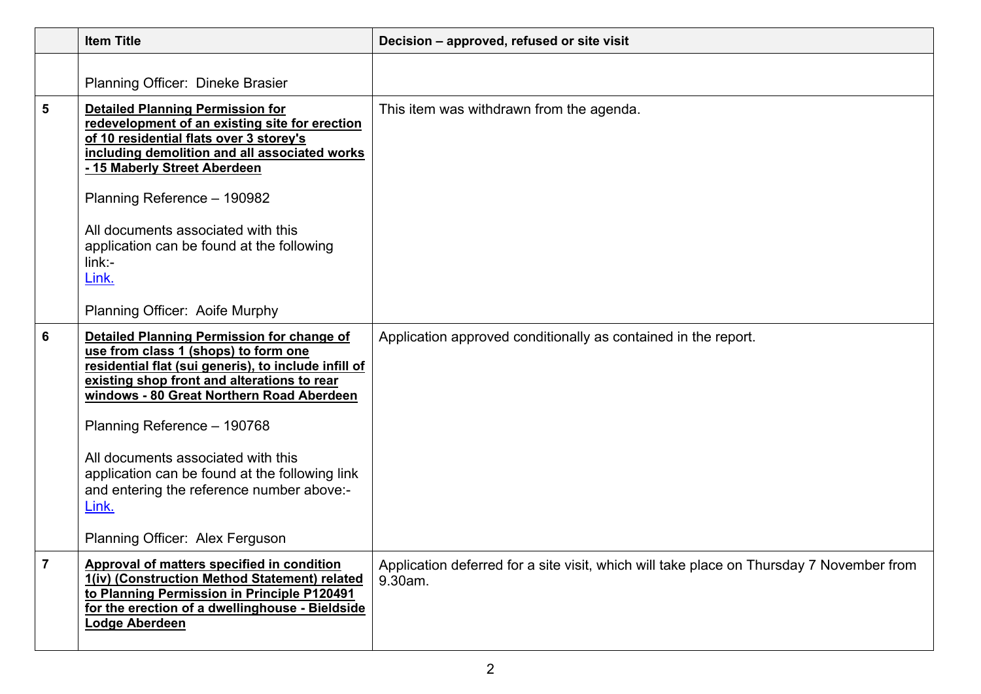|                | <b>Item Title</b>                                                                                                                                                                                                                                                                                                                                                                                                                                             | Decision - approved, refused or site visit                                                          |
|----------------|---------------------------------------------------------------------------------------------------------------------------------------------------------------------------------------------------------------------------------------------------------------------------------------------------------------------------------------------------------------------------------------------------------------------------------------------------------------|-----------------------------------------------------------------------------------------------------|
|                | Planning Officer: Dineke Brasier                                                                                                                                                                                                                                                                                                                                                                                                                              |                                                                                                     |
| 5              | <b>Detailed Planning Permission for</b><br>redevelopment of an existing site for erection<br>of 10 residential flats over 3 storey's<br>including demolition and all associated works<br>- 15 Maberly Street Aberdeen<br>Planning Reference - 190982<br>All documents associated with this<br>application can be found at the following<br>$link -$<br>Link.<br>Planning Officer: Aoife Murphy                                                                | This item was withdrawn from the agenda.                                                            |
| 6              | <b>Detailed Planning Permission for change of</b><br>use from class 1 (shops) to form one<br>residential flat (sui generis), to include infill of<br>existing shop front and alterations to rear<br>windows - 80 Great Northern Road Aberdeen<br>Planning Reference - 190768<br>All documents associated with this<br>application can be found at the following link<br>and entering the reference number above:-<br>Link.<br>Planning Officer: Alex Ferguson | Application approved conditionally as contained in the report.                                      |
| $\overline{7}$ | Approval of matters specified in condition<br>1(iv) (Construction Method Statement) related<br>to Planning Permission in Principle P120491<br>for the erection of a dwellinghouse - Bieldside<br>Lodge Aberdeen                                                                                                                                                                                                                                               | Application deferred for a site visit, which will take place on Thursday 7 November from<br>9.30am. |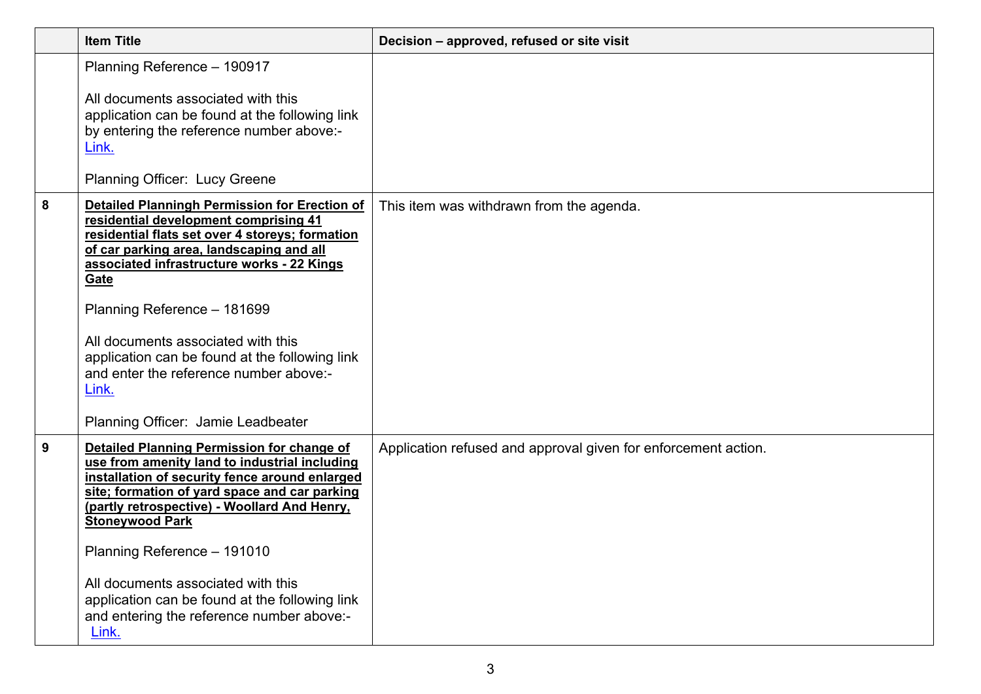|   | <b>Item Title</b>                                                                                                                                                                                                                                                                                                                                                                                                                                                  | Decision - approved, refused or site visit                     |
|---|--------------------------------------------------------------------------------------------------------------------------------------------------------------------------------------------------------------------------------------------------------------------------------------------------------------------------------------------------------------------------------------------------------------------------------------------------------------------|----------------------------------------------------------------|
|   | Planning Reference - 190917<br>All documents associated with this<br>application can be found at the following link<br>by entering the reference number above:-<br>Link.                                                                                                                                                                                                                                                                                           |                                                                |
|   | Planning Officer: Lucy Greene                                                                                                                                                                                                                                                                                                                                                                                                                                      |                                                                |
| 8 | <b>Detailed Planningh Permission for Erection of</b><br>residential development comprising 41<br>residential flats set over 4 storeys; formation<br>of car parking area, landscaping and all<br>associated infrastructure works - 22 Kings<br>Gate<br>Planning Reference - 181699<br>All documents associated with this<br>application can be found at the following link<br>and enter the reference number above:-<br>Link.<br>Planning Officer: Jamie Leadbeater | This item was withdrawn from the agenda.                       |
| 9 | Detailed Planning Permission for change of<br>use from amenity land to industrial including<br>installation of security fence around enlarged<br>site; formation of yard space and car parking<br>(partly retrospective) - Woollard And Henry,<br><b>Stoneywood Park</b><br>Planning Reference - 191010<br>All documents associated with this<br>application can be found at the following link<br>and entering the reference number above:-<br>Link.              | Application refused and approval given for enforcement action. |